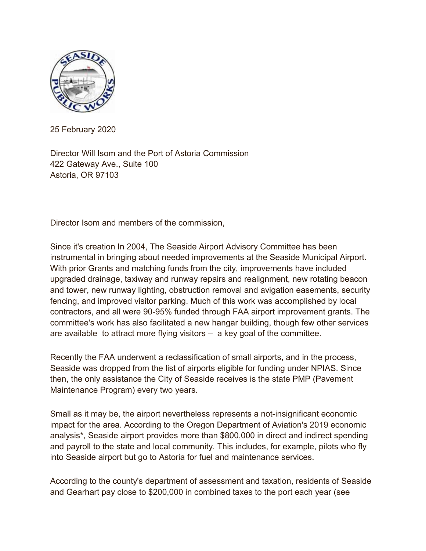

25 February 2020

Director Will Isom and the Port of Astoria Commission 422 Gateway Ave., Suite 100 Astoria, OR 97103

Director Isom and members of the commission,

Since it's creation In 2004, The Seaside Airport Advisory Committee has been instrumental in bringing about needed improvements at the Seaside Municipal Airport. With prior Grants and matching funds from the city, improvements have included upgraded drainage, taxiway and runway repairs and realignment, new rotating beacon and tower, new runway lighting, obstruction removal and avigation easements, security fencing, and improved visitor parking. Much of this work was accomplished by local contractors, and all were 90-95% funded through FAA airport improvement grants. The committee's work has also facilitated a new hangar building, though few other services are available to attract more flying visitors – a key goal of the committee.

Recently the FAA underwent a reclassification of small airports, and in the process, Seaside was dropped from the list of airports eligible for funding under NPIAS. Since then, the only assistance the City of Seaside receives is the state PMP (Pavement Maintenance Program) every two years.

Small as it may be, the airport nevertheless represents a not-insignificant economic impact for the area. According to the Oregon Department of Aviation's 2019 economic analysis\*, Seaside airport provides more than \$800,000 in direct and indirect spending and payroll to the state and local community. This includes, for example, pilots who fly into Seaside airport but go to Astoria for fuel and maintenance services.

According to the county's department of assessment and taxation, residents of Seaside and Gearhart pay close to \$200,000 in combined taxes to the port each year (see